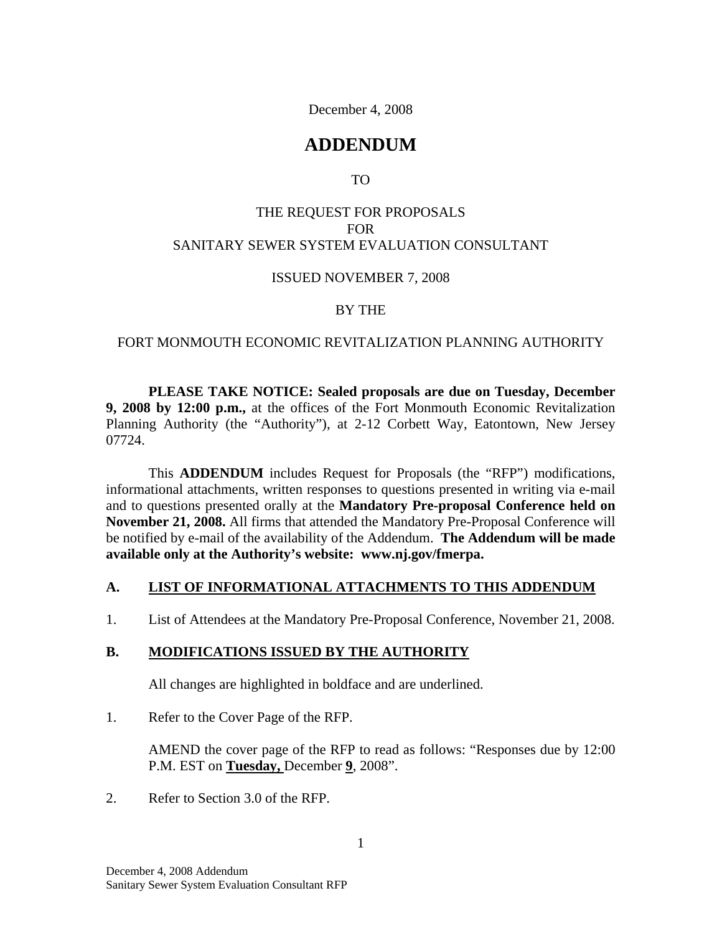December 4, 2008

# **ADDENDUM**

TO

### THE REQUEST FOR PROPOSALS FOR SANITARY SEWER SYSTEM EVALUATION CONSULTANT

#### ISSUED NOVEMBER 7, 2008

#### BY THE

#### FORT MONMOUTH ECONOMIC REVITALIZATION PLANNING AUTHORITY

**PLEASE TAKE NOTICE: Sealed proposals are due on Tuesday, December 9, 2008 by 12:00 p.m.,** at the offices of the Fort Monmouth Economic Revitalization Planning Authority (the "Authority"), at 2-12 Corbett Way, Eatontown, New Jersey 07724.

This **ADDENDUM** includes Request for Proposals (the "RFP") modifications, informational attachments, written responses to questions presented in writing via e-mail and to questions presented orally at the **Mandatory Pre-proposal Conference held on November 21, 2008.** All firms that attended the Mandatory Pre-Proposal Conference will be notified by e-mail of the availability of the Addendum. **The Addendum will be made available only at the Authority's website: www.nj.gov/fmerpa.**

#### **A. LIST OF INFORMATIONAL ATTACHMENTS TO THIS ADDENDUM**

1. List of Attendees at the Mandatory Pre-Proposal Conference, November 21, 2008.

#### **B. MODIFICATIONS ISSUED BY THE AUTHORITY**

All changes are highlighted in boldface and are underlined.

1. Refer to the Cover Page of the RFP.

AMEND the cover page of the RFP to read as follows: "Responses due by 12:00 P.M. EST on **Tuesday,** December **9**, 2008".

2. Refer to Section 3.0 of the RFP.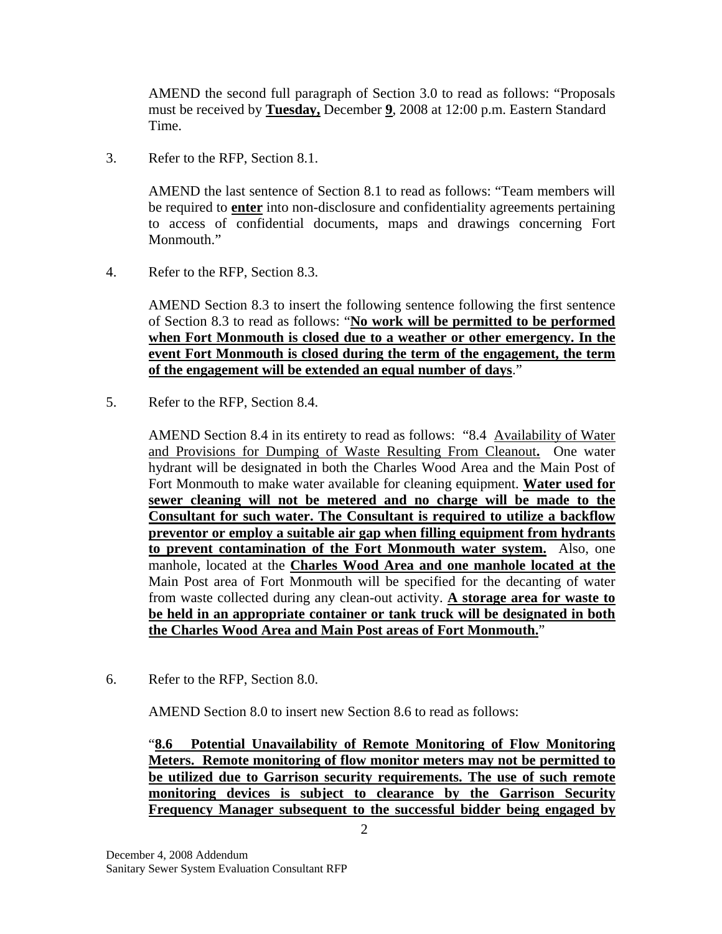AMEND the second full paragraph of Section 3.0 to read as follows: "Proposals must be received by **Tuesday,** December **9**, 2008 at 12:00 p.m. Eastern Standard Time.

3. Refer to the RFP, Section 8.1.

AMEND the last sentence of Section 8.1 to read as follows: "Team members will be required to **enter** into non-disclosure and confidentiality agreements pertaining to access of confidential documents, maps and drawings concerning Fort Monmouth."

4. Refer to the RFP, Section 8.3.

AMEND Section 8.3 to insert the following sentence following the first sentence of Section 8.3 to read as follows: "**No work will be permitted to be performed when Fort Monmouth is closed due to a weather or other emergency. In the event Fort Monmouth is closed during the term of the engagement, the term of the engagement will be extended an equal number of days**."

5. Refer to the RFP, Section 8.4.

AMEND Section 8.4 in its entirety to read as follows: "8.4 Availability of Water and Provisions for Dumping of Waste Resulting From Cleanout**.** One water hydrant will be designated in both the Charles Wood Area and the Main Post of Fort Monmouth to make water available for cleaning equipment. **Water used for sewer cleaning will not be metered and no charge will be made to the Consultant for such water. The Consultant is required to utilize a backflow preventor or employ a suitable air gap when filling equipment from hydrants to prevent contamination of the Fort Monmouth water system.** Also, one manhole, located at the **Charles Wood Area and one manhole located at the** Main Post area of Fort Monmouth will be specified for the decanting of water from waste collected during any clean-out activity. **A storage area for waste to be held in an appropriate container or tank truck will be designated in both the Charles Wood Area and Main Post areas of Fort Monmouth.**"

6. Refer to the RFP, Section 8.0.

AMEND Section 8.0 to insert new Section 8.6 to read as follows:

"**8.6 Potential Unavailability of Remote Monitoring of Flow Monitoring Meters. Remote monitoring of flow monitor meters may not be permitted to be utilized due to Garrison security requirements. The use of such remote monitoring devices is subject to clearance by the Garrison Security Frequency Manager subsequent to the successful bidder being engaged by**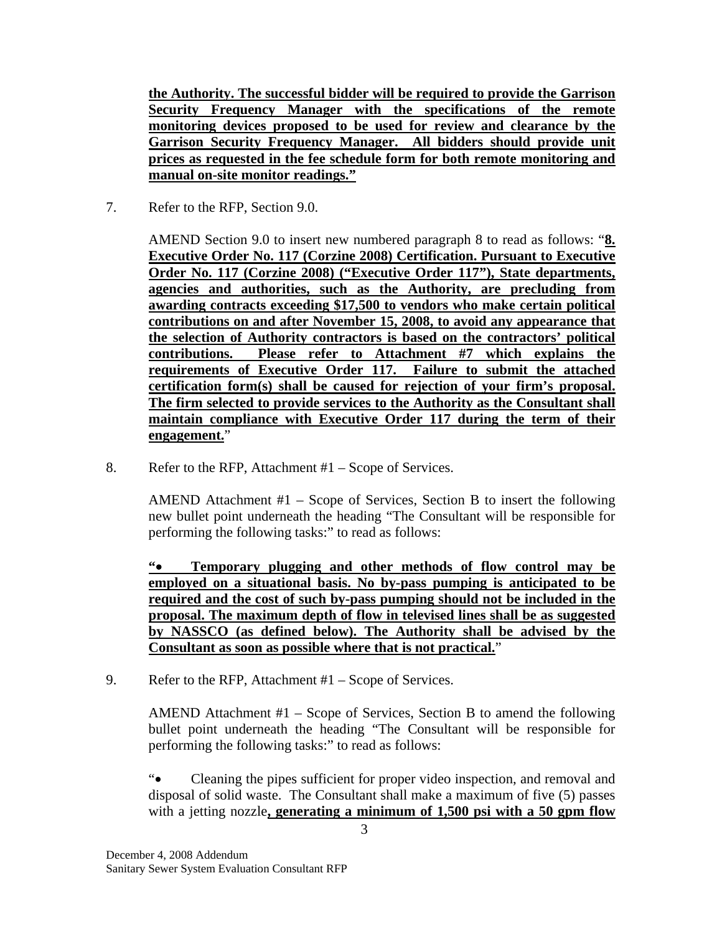**the Authority. The successful bidder will be required to provide the Garrison Security Frequency Manager with the specifications of the remote monitoring devices proposed to be used for review and clearance by the Garrison Security Frequency Manager. All bidders should provide unit prices as requested in the fee schedule form for both remote monitoring and manual on-site monitor readings."**

7. Refer to the RFP, Section 9.0.

AMEND Section 9.0 to insert new numbered paragraph 8 to read as follows: "**8. Executive Order No. 117 (Corzine 2008) Certification. Pursuant to Executive Order No. 117 (Corzine 2008) ("Executive Order 117"), State departments, agencies and authorities, such as the Authority, are precluding from awarding contracts exceeding \$17,500 to vendors who make certain political contributions on and after November 15, 2008, to avoid any appearance that the selection of Authority contractors is based on the contractors' political contributions. Please refer to Attachment #7 which explains the requirements of Executive Order 117. Failure to submit the attached certification form(s) shall be caused for rejection of your firm's proposal. The firm selected to provide services to the Authority as the Consultant shall maintain compliance with Executive Order 117 during the term of their engagement.**"

8. Refer to the RFP, Attachment #1 – Scope of Services.

AMEND Attachment #1 – Scope of Services, Section B to insert the following new bullet point underneath the heading "The Consultant will be responsible for performing the following tasks:" to read as follows:

**" Temporary plugging and other methods of flow control may be employed on a situational basis. No by-pass pumping is anticipated to be required and the cost of such by-pass pumping should not be included in the proposal. The maximum depth of flow in televised lines shall be as suggested by NASSCO (as defined below). The Authority shall be advised by the Consultant as soon as possible where that is not practical.**"

9. Refer to the RFP, Attachment #1 – Scope of Services.

AMEND Attachment #1 – Scope of Services, Section B to amend the following bullet point underneath the heading "The Consultant will be responsible for performing the following tasks:" to read as follows:

" Cleaning the pipes sufficient for proper video inspection, and removal and disposal of solid waste. The Consultant shall make a maximum of five (5) passes with a jetting nozzle**, generating a minimum of 1,500 psi with a 50 gpm flow**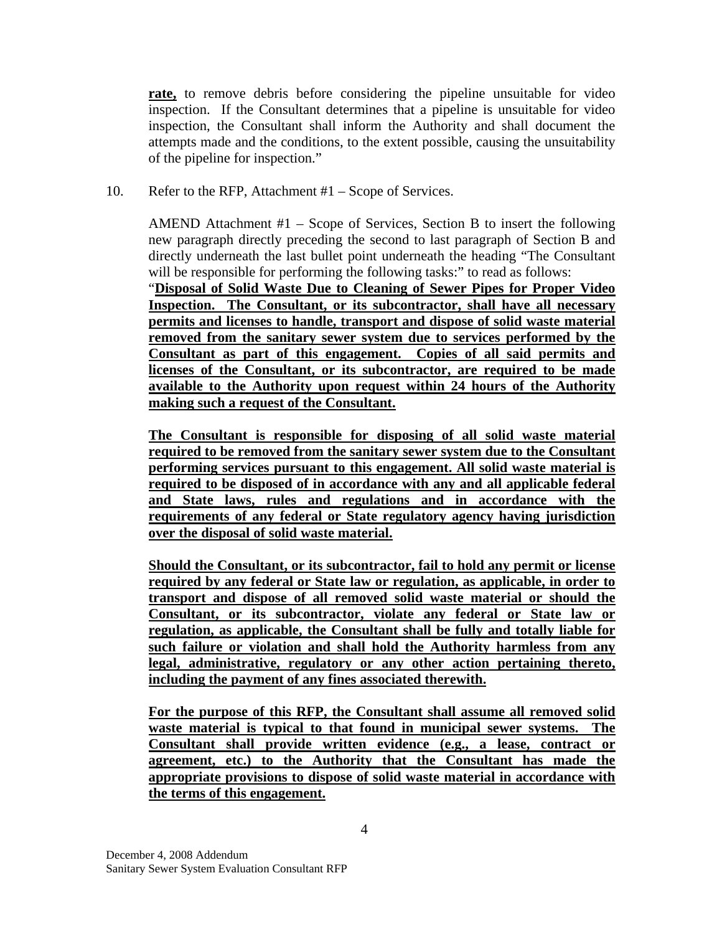**rate,** to remove debris before considering the pipeline unsuitable for video inspection. If the Consultant determines that a pipeline is unsuitable for video inspection, the Consultant shall inform the Authority and shall document the attempts made and the conditions, to the extent possible, causing the unsuitability of the pipeline for inspection."

10. Refer to the RFP, Attachment #1 – Scope of Services.

AMEND Attachment #1 – Scope of Services, Section B to insert the following new paragraph directly preceding the second to last paragraph of Section B and directly underneath the last bullet point underneath the heading "The Consultant will be responsible for performing the following tasks:" to read as follows:

"**Disposal of Solid Waste Due to Cleaning of Sewer Pipes for Proper Video Inspection. The Consultant, or its subcontractor, shall have all necessary permits and licenses to handle, transport and dispose of solid waste material removed from the sanitary sewer system due to services performed by the Consultant as part of this engagement. Copies of all said permits and licenses of the Consultant, or its subcontractor, are required to be made available to the Authority upon request within 24 hours of the Authority making such a request of the Consultant.**

**The Consultant is responsible for disposing of all solid waste material required to be removed from the sanitary sewer system due to the Consultant performing services pursuant to this engagement. All solid waste material is required to be disposed of in accordance with any and all applicable federal and State laws, rules and regulations and in accordance with the requirements of any federal or State regulatory agency having jurisdiction over the disposal of solid waste material.**

**Should the Consultant, or its subcontractor, fail to hold any permit or license required by any federal or State law or regulation, as applicable, in order to transport and dispose of all removed solid waste material or should the Consultant, or its subcontractor, violate any federal or State law or regulation, as applicable, the Consultant shall be fully and totally liable for such failure or violation and shall hold the Authority harmless from any legal, administrative, regulatory or any other action pertaining thereto, including the payment of any fines associated therewith.**

**For the purpose of this RFP, the Consultant shall assume all removed solid waste material is typical to that found in municipal sewer systems. The Consultant shall provide written evidence (e.g., a lease, contract or agreement, etc.) to the Authority that the Consultant has made the appropriate provisions to dispose of solid waste material in accordance with the terms of this engagement.**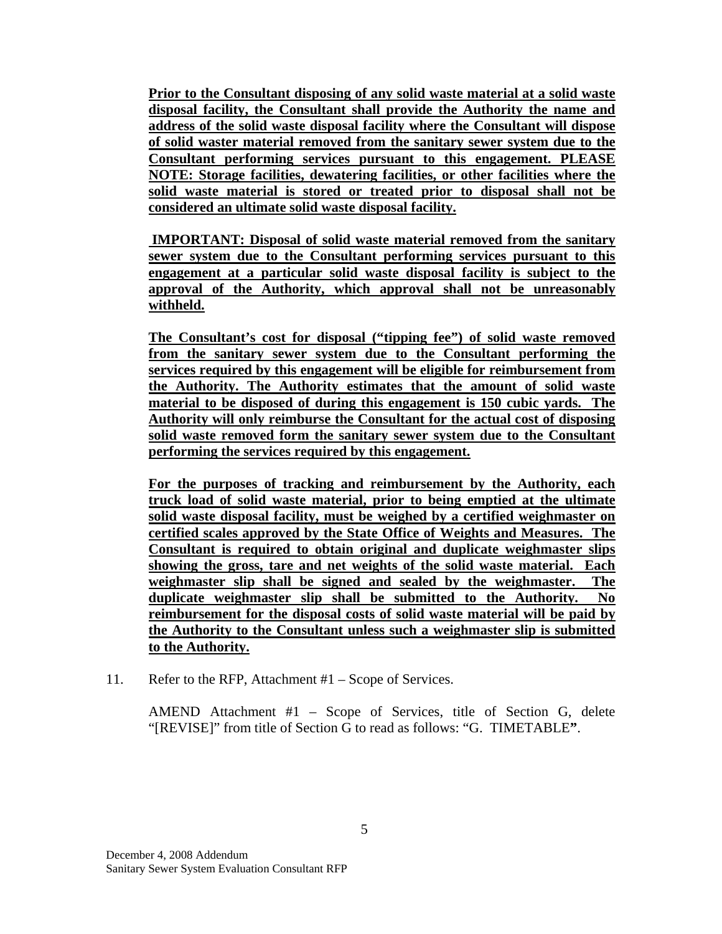**Prior to the Consultant disposing of any solid waste material at a solid waste disposal facility, the Consultant shall provide the Authority the name and address of the solid waste disposal facility where the Consultant will dispose of solid waster material removed from the sanitary sewer system due to the Consultant performing services pursuant to this engagement. PLEASE NOTE: Storage facilities, dewatering facilities, or other facilities where the solid waste material is stored or treated prior to disposal shall not be considered an ultimate solid waste disposal facility.**

**IMPORTANT: Disposal of solid waste material removed from the sanitary sewer system due to the Consultant performing services pursuant to this engagement at a particular solid waste disposal facility is subject to the approval of the Authority, which approval shall not be unreasonably withheld.**

**The Consultant's cost for disposal ("tipping fee") of solid waste removed from the sanitary sewer system due to the Consultant performing the services required by this engagement will be eligible for reimbursement from the Authority. The Authority estimates that the amount of solid waste material to be disposed of during this engagement is 150 cubic yards. The Authority will only reimburse the Consultant for the actual cost of disposing solid waste removed form the sanitary sewer system due to the Consultant performing the services required by this engagement.**

**For the purposes of tracking and reimbursement by the Authority, each truck load of solid waste material, prior to being emptied at the ultimate solid waste disposal facility, must be weighed by a certified weighmaster on certified scales approved by the State Office of Weights and Measures. The Consultant is required to obtain original and duplicate weighmaster slips showing the gross, tare and net weights of the solid waste material. Each weighmaster slip shall be signed and sealed by the weighmaster. The duplicate weighmaster slip shall be submitted to the Authority. No reimbursement for the disposal costs of solid waste material will be paid by the Authority to the Consultant unless such a weighmaster slip is submitted to the Authority.**

11. Refer to the RFP, Attachment #1 – Scope of Services.

AMEND Attachment #1 – Scope of Services, title of Section G, delete "[REVISE]" from title of Section G to read as follows: "G. TIMETABLE**"**.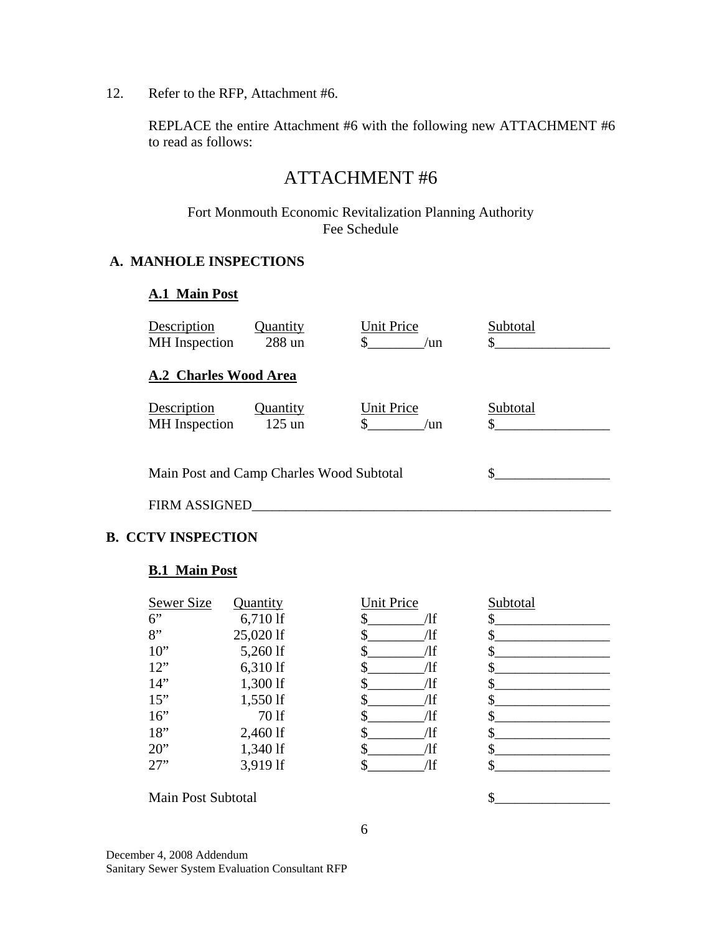12. Refer to the RFP, Attachment #6.

REPLACE the entire Attachment #6 with the following new ATTACHMENT #6 to read as follows:

# ATTACHMENT #6

Fort Monmouth Economic Revitalization Planning Authority Fee Schedule

### **A. MANHOLE INSPECTIONS**

#### **A.1 Main Post**

| Description<br><b>MH</b> Inspection      | Quantity<br>288 un   | Unit Price<br>$\mu$ n    | Subtotal        |
|------------------------------------------|----------------------|--------------------------|-----------------|
| A.2 Charles Wood Area                    |                      |                          |                 |
| Description<br><b>MH</b> Inspection      | Quantity<br>$125$ un | <b>Unit Price</b><br>/un | Subtotal<br>\$. |
| Main Post and Camp Charles Wood Subtotal |                      |                          |                 |
| <b>FIRM ASSIGNED</b>                     |                      |                          |                 |

### **B. CCTV INSPECTION**

#### **B.1 Main Post**

| Sewer Size | Quantity   | <b>Unit Price</b> | Subtotal |
|------------|------------|-------------------|----------|
| 6"         | 6,710 lf   | ⁄lf               |          |
| 8"         | 25,020 lf  | Ίf                |          |
| $10$ "     | 5,260 lf   | Ίf                |          |
| 12"        | 6,310 lf   | Ίf                |          |
| 14"        | 1,300 lf   | Ίf                |          |
| 15"        | $1,550$ lf | Ίf                |          |
| 16"        | 70 lf      | Ίf                |          |
| 18"        | 2,460 lf   | Ίf                |          |
| $20$ "     | 1,340 lf   | Ίf                |          |
| 27"        | 3,919 lf   | Ίf                |          |

Main Post Subtotal  $\qquad \qquad$   $\qquad \qquad$   $\qquad \qquad$ 

6

December 4, 2008 Addendum Sanitary Sewer System Evaluation Consultant RFP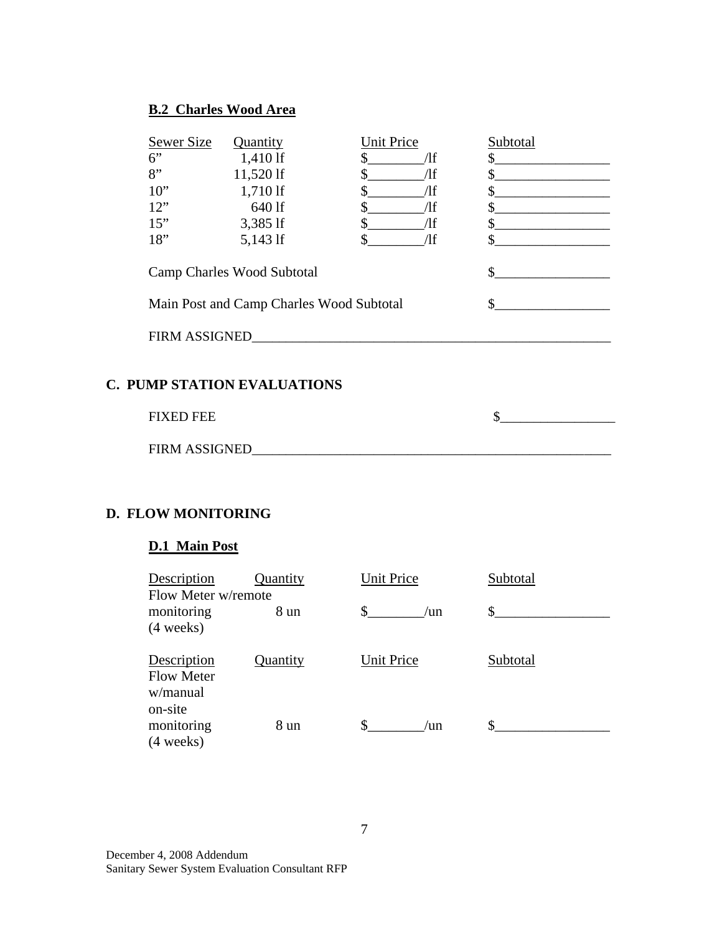### **B.2 Charles Wood Area**

| <b>Sewer Size</b><br>6"<br>8"<br>$10$ "<br>12"<br>15"<br>18" | Quantity<br>1,410 lf<br>11,520 lf<br>1,710 lf<br>640 lf<br>3,385 lf<br>5,143 lf<br>Camp Charles Wood Subtotal<br>Main Post and Camp Charles Wood Subtotal | <b>Unit Price</b><br>\$<br>Лf<br>\$<br>$\Lambda f$<br>$\Lambda f$<br>\$<br>/lf<br>\$<br>$\sqrt{1}f$<br>\$<br>$\pi$ | Subtotal<br>\$<br>$\mathbb{S}$<br>\$<br>\$<br>$\mathbb{S}$<br>\$.<br>\$<br>\$ |  |
|--------------------------------------------------------------|-----------------------------------------------------------------------------------------------------------------------------------------------------------|--------------------------------------------------------------------------------------------------------------------|-------------------------------------------------------------------------------|--|
|                                                              | FIRM ASSIGNED                                                                                                                                             |                                                                                                                    |                                                                               |  |
| <b>C. PUMP STATION EVALUATIONS</b>                           |                                                                                                                                                           |                                                                                                                    |                                                                               |  |
| <b>FIXED FEE</b>                                             |                                                                                                                                                           |                                                                                                                    | \$                                                                            |  |
| <b>FIRM ASSIGNED</b>                                         |                                                                                                                                                           |                                                                                                                    |                                                                               |  |

## **D. FLOW MONITORING**

# **D.1 Main Post**

| Description<br>Flow Meter w/remote           | Quantity | <b>Unit Price</b> | Subtotal |
|----------------------------------------------|----------|-------------------|----------|
| monitoring<br>$(4 \text{ weeks})$            | 8 un     | S<br>$\ln$        | \$       |
| Description<br><b>Flow Meter</b><br>w/manual | Quantity | <b>Unit Price</b> | Subtotal |
| on-site<br>monitoring<br>$(4 \text{ weeks})$ | 8 un     | /un               |          |

December 4, 2008 Addendum Sanitary Sewer System Evaluation Consultant RFP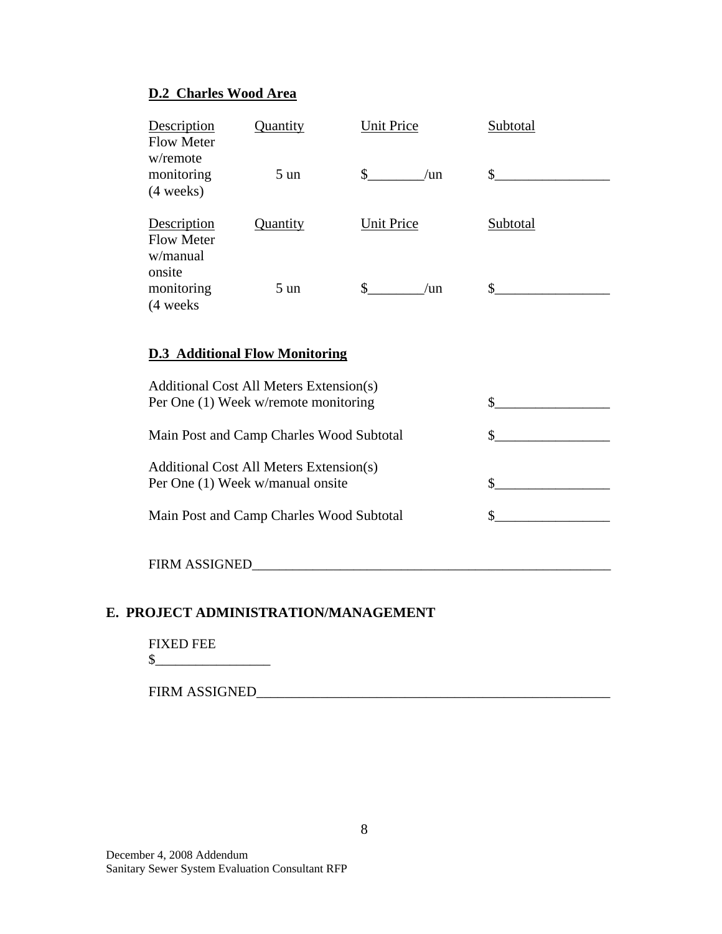## **D.2 Charles Wood Area**

| Description<br><b>Flow Meter</b><br>w/remote           | Quantity       | <b>Unit Price</b>       | Subtotal |
|--------------------------------------------------------|----------------|-------------------------|----------|
| monitoring<br>$(4 \text{ weeks})$                      | $5 \text{ un}$ | $\mathbb{S}^-$<br>$\ln$ | \$       |
| Description<br><b>Flow Meter</b><br>w/manual<br>onsite | Quantity       | <b>Unit Price</b>       | Subtotal |
| monitoring<br>(4 weeks)                                | $5 \text{ un}$ | S<br>$\ln$              | S        |

### **D.3 Additional Flow Monitoring**

| Additional Cost All Meters Extension(s)<br>Per One (1) Week w/remote monitoring |  |
|---------------------------------------------------------------------------------|--|
| Main Post and Camp Charles Wood Subtotal                                        |  |
| Additional Cost All Meters Extension(s)<br>Per One (1) Week w/manual onsite     |  |
| Main Post and Camp Charles Wood Subtotal                                        |  |
| <b>FIRM ASSIGNED</b>                                                            |  |

### **E. PROJECT ADMINISTRATION/MANAGEMENT**

FIXED FEE

\$\_\_\_\_\_\_\_\_\_\_\_\_\_\_\_\_\_

| <b>FIRM ASSIGNED</b> |  |
|----------------------|--|
|                      |  |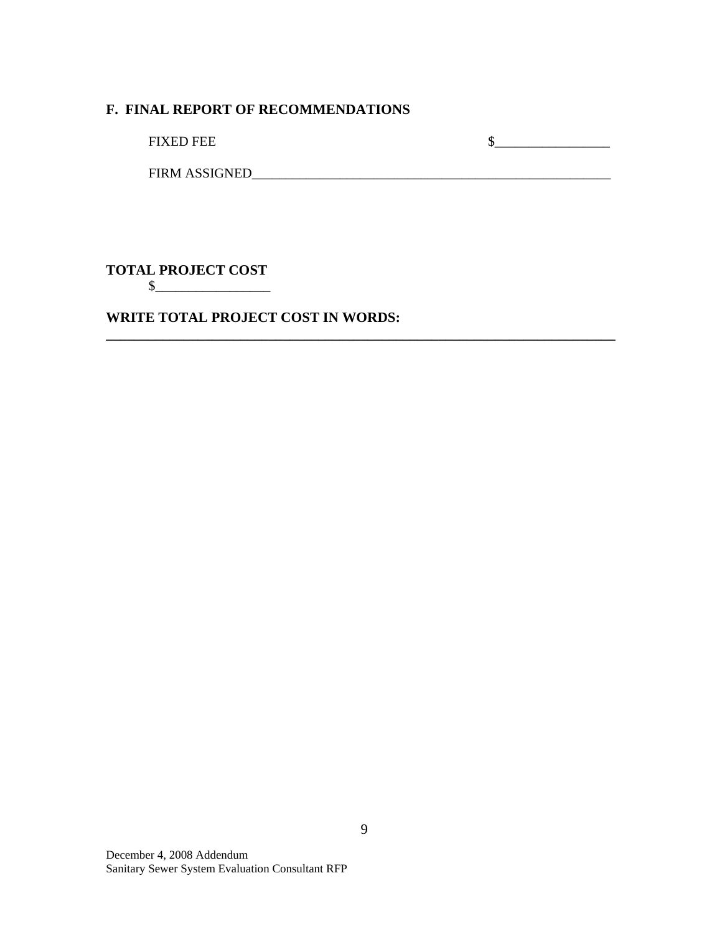#### **F. FINAL REPORT OF RECOMMENDATIONS**

FIXED FEE \$\_\_\_\_\_\_\_\_\_\_\_\_\_\_\_\_\_

FIRM ASSIGNED\_\_\_\_\_\_\_\_\_\_\_\_\_\_\_\_\_\_\_\_\_\_\_\_\_\_\_\_\_\_\_\_\_\_\_\_\_\_\_\_\_\_\_\_\_\_\_\_\_\_\_\_\_

**TOTAL PROJECT COST**

\$\_\_\_\_\_\_\_\_\_\_\_\_\_\_\_\_\_

**WRITE TOTAL PROJECT COST IN WORDS:**

**\_\_\_\_\_\_\_\_\_\_\_\_\_\_\_\_\_\_\_\_\_\_\_\_\_\_\_\_\_\_\_\_\_\_\_\_\_\_\_\_\_\_\_\_\_\_\_\_\_\_\_\_\_\_\_\_\_\_\_\_\_\_\_\_\_\_\_\_\_\_\_\_**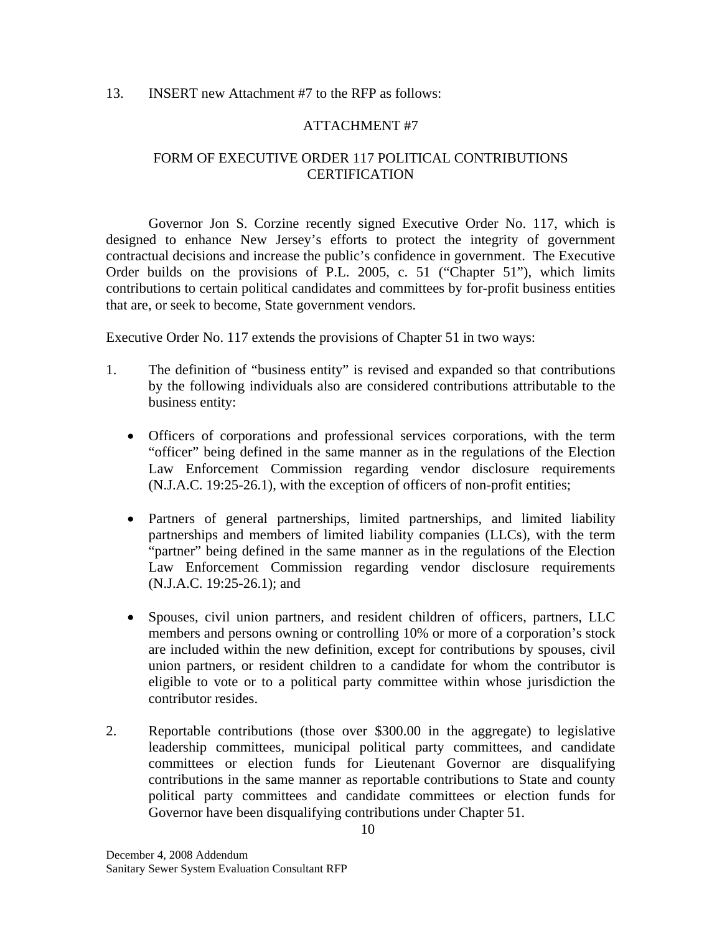#### 13. INSERT new Attachment #7 to the RFP as follows:

#### ATTACHMENT #7

### FORM OF EXECUTIVE ORDER 117 POLITICAL CONTRIBUTIONS **CERTIFICATION**

Governor Jon S. Corzine recently signed Executive Order No. 117, which is designed to enhance New Jersey's efforts to protect the integrity of government contractual decisions and increase the public's confidence in government. The Executive Order builds on the provisions of P.L. 2005, c. 51 ("Chapter 51"), which limits contributions to certain political candidates and committees by for-profit business entities that are, or seek to become, State government vendors.

Executive Order No. 117 extends the provisions of Chapter 51 in two ways:

- 1. The definition of "business entity" is revised and expanded so that contributions by the following individuals also are considered contributions attributable to the business entity:
	- Officers of corporations and professional services corporations, with the term "officer" being defined in the same manner as in the regulations of the Election Law Enforcement Commission regarding vendor disclosure requirements (N.J.A.C. 19:25-26.1), with the exception of officers of non-profit entities;
	- Partners of general partnerships, limited partnerships, and limited liability partnerships and members of limited liability companies (LLCs), with the term "partner" being defined in the same manner as in the regulations of the Election Law Enforcement Commission regarding vendor disclosure requirements (N.J.A.C. 19:25-26.1); and
	- Spouses, civil union partners, and resident children of officers, partners, LLC members and persons owning or controlling 10% or more of a corporation's stock are included within the new definition, except for contributions by spouses, civil union partners, or resident children to a candidate for whom the contributor is eligible to vote or to a political party committee within whose jurisdiction the contributor resides.
- 2. Reportable contributions (those over \$300.00 in the aggregate) to legislative leadership committees, municipal political party committees, and candidate committees or election funds for Lieutenant Governor are disqualifying contributions in the same manner as reportable contributions to State and county political party committees and candidate committees or election funds for Governor have been disqualifying contributions under Chapter 51.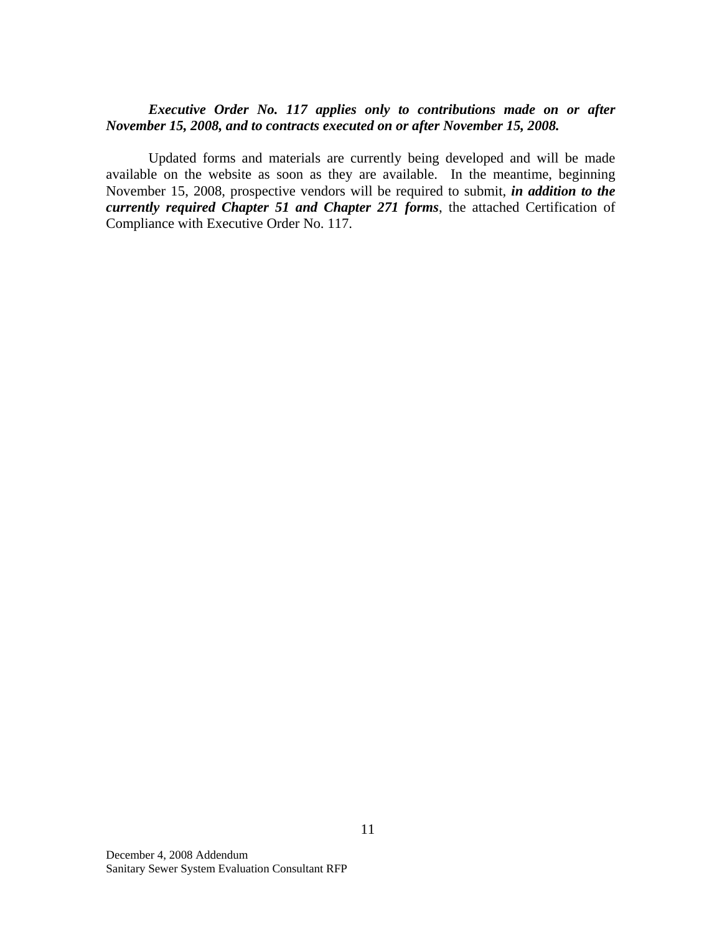#### *Executive Order No. 117 applies only to contributions made on or after November 15, 2008, and to contracts executed on or after November 15, 2008.*

Updated forms and materials are currently being developed and will be made available on the website as soon as they are available. In the meantime, beginning November 15, 2008, prospective vendors will be required to submit, *in addition to the currently required Chapter 51 and Chapter 271 forms*, the attached Certification of Compliance with Executive Order No. 117.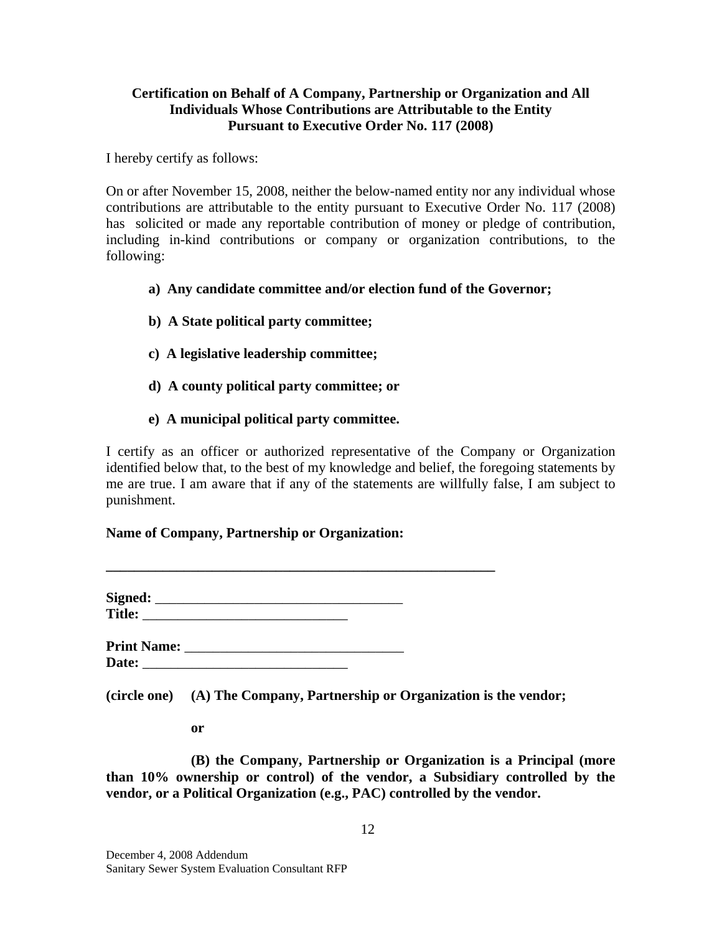### **Certification on Behalf of A Company, Partnership or Organization and All Individuals Whose Contributions are Attributable to the Entity Pursuant to Executive Order No. 117 (2008)**

I hereby certify as follows:

On or after November 15, 2008, neither the below-named entity nor any individual whose contributions are attributable to the entity pursuant to Executive Order No. 117 (2008) has solicited or made any reportable contribution of money or pledge of contribution, including in-kind contributions or company or organization contributions, to the following:

### **a) Any candidate committee and/or election fund of the Governor;**

- **b) A State political party committee;**
- **c) A legislative leadership committee;**
- **d) A county political party committee; or**
- **e) A municipal political party committee.**

I certify as an officer or authorized representative of the Company or Organization identified below that, to the best of my knowledge and belief, the foregoing statements by me are true. I am aware that if any of the statements are willfully false, I am subject to punishment.

#### **Name of Company, Partnership or Organization:**

| Signed:       |  |  |
|---------------|--|--|
| <b>Title:</b> |  |  |
|               |  |  |
|               |  |  |

**\_\_\_\_\_\_\_\_\_\_\_\_\_\_\_\_\_\_\_\_\_\_\_\_\_\_\_\_\_\_\_\_\_\_\_\_\_\_\_\_\_\_\_\_\_\_\_\_\_\_\_\_\_\_\_**

**Print Name:**  $\blacksquare$ **Date:**  $\blacksquare$ 

**(circle one) (A) The Company, Partnership or Organization is the vendor;**

**or**

**(B) the Company, Partnership or Organization is a Principal (more than 10% ownership or control) of the vendor, a Subsidiary controlled by the vendor, or a Political Organization (e.g., PAC) controlled by the vendor.**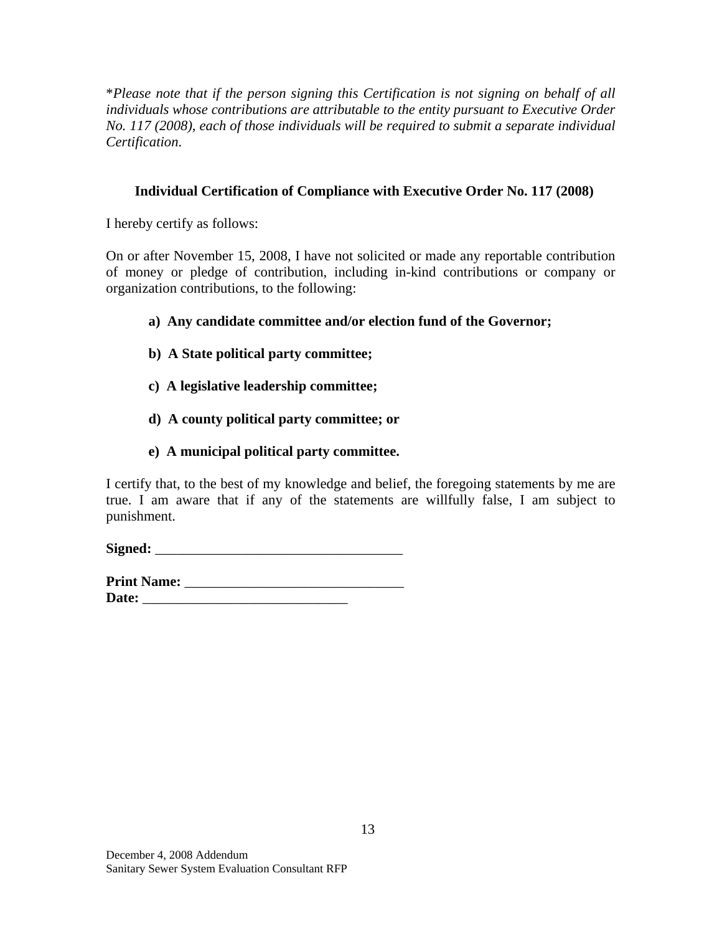\**Please note that if the person signing this Certification is not signing on behalf of all individuals whose contributions are attributable to the entity pursuant to Executive Order No. 117 (2008), each of those individuals will be required to submit a separate individual Certification*.

### **Individual Certification of Compliance with Executive Order No. 117 (2008)**

I hereby certify as follows:

On or after November 15, 2008, I have not solicited or made any reportable contribution of money or pledge of contribution, including in-kind contributions or company or organization contributions, to the following:

- **a) Any candidate committee and/or election fund of the Governor;**
- **b) A State political party committee;**
- **c) A legislative leadership committee;**
- **d) A county political party committee; or**
- **e) A municipal political party committee.**

I certify that, to the best of my knowledge and belief, the foregoing statements by me are true. I am aware that if any of the statements are willfully false, I am subject to punishment.

**Signed:** \_\_\_\_\_\_\_\_\_\_\_\_\_\_\_\_\_\_\_\_\_\_\_\_\_\_\_\_\_\_\_\_\_\_\_

**Print Name:** \_\_\_\_\_\_\_\_\_\_\_\_\_\_\_\_\_\_\_\_\_\_\_\_\_\_\_\_\_\_\_ **Date:** \_\_\_\_\_\_\_\_\_\_\_\_\_\_\_\_\_\_\_\_\_\_\_\_\_\_\_\_\_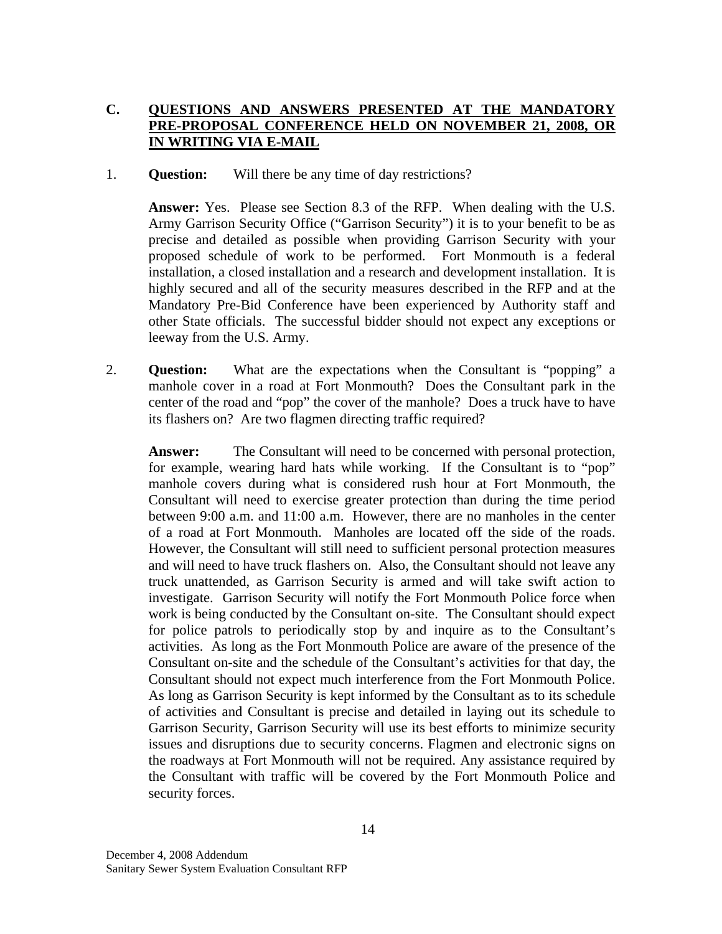### **C. QUESTIONS AND ANSWERS PRESENTED AT THE MANDATORY PRE-PROPOSAL CONFERENCE HELD ON NOVEMBER 21, 2008, OR IN WRITING VIA E-MAIL**

#### 1. **Question:** Will there be any time of day restrictions?

**Answer:** Yes. Please see Section 8.3 of the RFP. When dealing with the U.S. Army Garrison Security Office ("Garrison Security") it is to your benefit to be as precise and detailed as possible when providing Garrison Security with your proposed schedule of work to be performed. Fort Monmouth is a federal installation, a closed installation and a research and development installation. It is highly secured and all of the security measures described in the RFP and at the Mandatory Pre-Bid Conference have been experienced by Authority staff and other State officials. The successful bidder should not expect any exceptions or leeway from the U.S. Army.

2. **Question:** What are the expectations when the Consultant is "popping" a manhole cover in a road at Fort Monmouth? Does the Consultant park in the center of the road and "pop" the cover of the manhole? Does a truck have to have its flashers on? Are two flagmen directing traffic required?

**Answer:** The Consultant will need to be concerned with personal protection, for example, wearing hard hats while working. If the Consultant is to "pop" manhole covers during what is considered rush hour at Fort Monmouth, the Consultant will need to exercise greater protection than during the time period between 9:00 a.m. and 11:00 a.m. However, there are no manholes in the center of a road at Fort Monmouth. Manholes are located off the side of the roads. However, the Consultant will still need to sufficient personal protection measures and will need to have truck flashers on. Also, the Consultant should not leave any truck unattended, as Garrison Security is armed and will take swift action to investigate. Garrison Security will notify the Fort Monmouth Police force when work is being conducted by the Consultant on-site. The Consultant should expect for police patrols to periodically stop by and inquire as to the Consultant's activities. As long as the Fort Monmouth Police are aware of the presence of the Consultant on-site and the schedule of the Consultant's activities for that day, the Consultant should not expect much interference from the Fort Monmouth Police. As long as Garrison Security is kept informed by the Consultant as to its schedule of activities and Consultant is precise and detailed in laying out its schedule to Garrison Security, Garrison Security will use its best efforts to minimize security issues and disruptions due to security concerns. Flagmen and electronic signs on the roadways at Fort Monmouth will not be required. Any assistance required by the Consultant with traffic will be covered by the Fort Monmouth Police and security forces.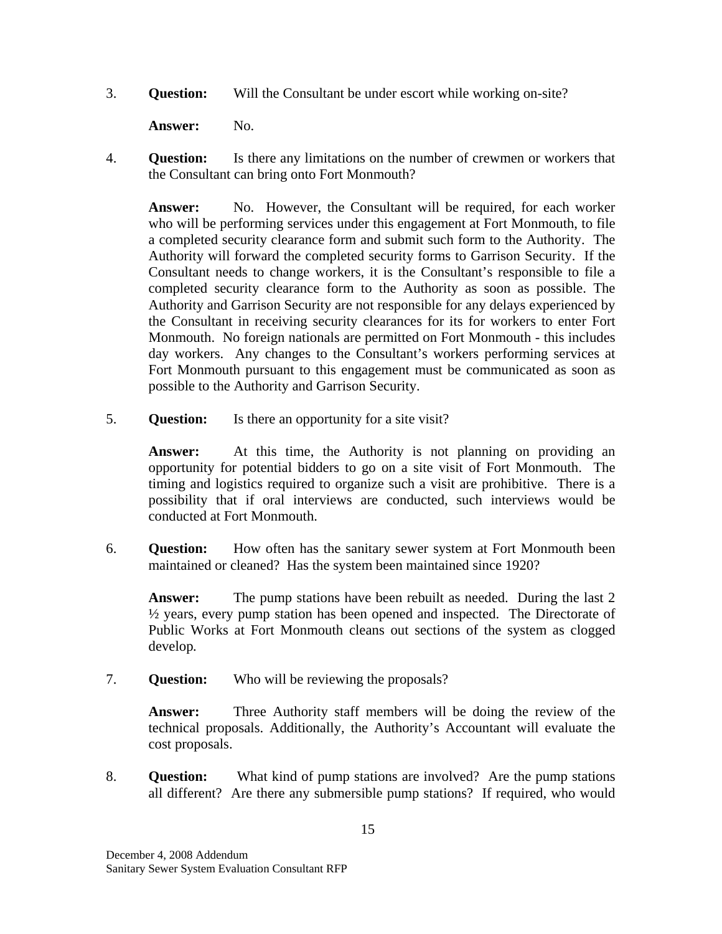3. **Question:** Will the Consultant be under escort while working on-site?

Answer: No.

4. **Question:** Is there any limitations on the number of crewmen or workers that the Consultant can bring onto Fort Monmouth?

Answer: No. However, the Consultant will be required, for each worker who will be performing services under this engagement at Fort Monmouth, to file a completed security clearance form and submit such form to the Authority. The Authority will forward the completed security forms to Garrison Security. If the Consultant needs to change workers, it is the Consultant's responsible to file a completed security clearance form to the Authority as soon as possible. The Authority and Garrison Security are not responsible for any delays experienced by the Consultant in receiving security clearances for its for workers to enter Fort Monmouth. No foreign nationals are permitted on Fort Monmouth - this includes day workers. Any changes to the Consultant's workers performing services at Fort Monmouth pursuant to this engagement must be communicated as soon as possible to the Authority and Garrison Security.

5. **Question:** Is there an opportunity for a site visit?

**Answer:** At this time, the Authority is not planning on providing an opportunity for potential bidders to go on a site visit of Fort Monmouth. The timing and logistics required to organize such a visit are prohibitive. There is a possibility that if oral interviews are conducted, such interviews would be conducted at Fort Monmouth.

6. **Question:** How often has the sanitary sewer system at Fort Monmouth been maintained or cleaned? Has the system been maintained since 1920?

**Answer:** The pump stations have been rebuilt as needed. During the last 2  $\frac{1}{2}$  years, every pump station has been opened and inspected. The Directorate of Public Works at Fort Monmouth cleans out sections of the system as clogged develop*.*

7. **Question:** Who will be reviewing the proposals?

**Answer:** Three Authority staff members will be doing the review of the technical proposals. Additionally, the Authority's Accountant will evaluate the cost proposals.

8. **Question:** What kind of pump stations are involved? Are the pump stations all different? Are there any submersible pump stations? If required, who would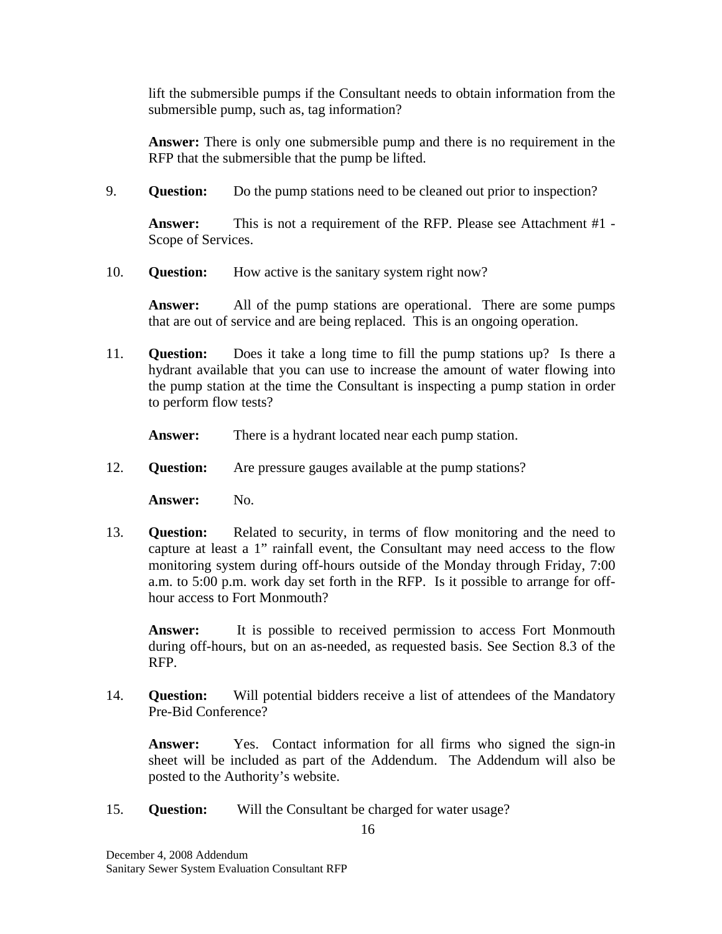lift the submersible pumps if the Consultant needs to obtain information from the submersible pump, such as, tag information?

**Answer:** There is only one submersible pump and there is no requirement in the RFP that the submersible that the pump be lifted.

9. **Question:** Do the pump stations need to be cleaned out prior to inspection?

**Answer:** This is not a requirement of the RFP. Please see Attachment #1 - Scope of Services.

10. **Question:** How active is the sanitary system right now?

Answer: All of the pump stations are operational. There are some pumps that are out of service and are being replaced. This is an ongoing operation.

11. **Question:** Does it take a long time to fill the pump stations up? Is there a hydrant available that you can use to increase the amount of water flowing into the pump station at the time the Consultant is inspecting a pump station in order to perform flow tests?

**Answer:** There is a hydrant located near each pump station.

12. **Question:** Are pressure gauges available at the pump stations?

Answer: No.

13. **Question:** Related to security, in terms of flow monitoring and the need to capture at least a 1" rainfall event, the Consultant may need access to the flow monitoring system during off-hours outside of the Monday through Friday, 7:00 a.m. to 5:00 p.m. work day set forth in the RFP. Is it possible to arrange for offhour access to Fort Monmouth?

**Answer:** It is possible to received permission to access Fort Monmouth during off-hours, but on an as-needed, as requested basis. See Section 8.3 of the RFP.

14. **Question:** Will potential bidders receive a list of attendees of the Mandatory Pre-Bid Conference?

Answer: Yes. Contact information for all firms who signed the sign-in sheet will be included as part of the Addendum. The Addendum will also be posted to the Authority's website.

15. **Question:** Will the Consultant be charged for water usage?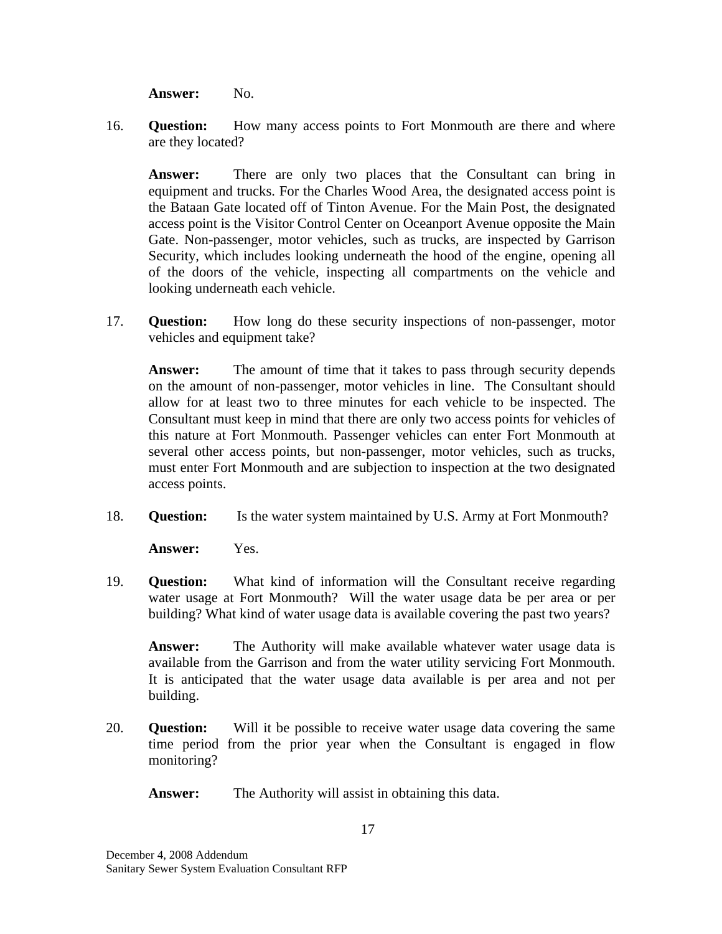Answer: No.

16. **Question:** How many access points to Fort Monmouth are there and where are they located?

**Answer:** There are only two places that the Consultant can bring in equipment and trucks. For the Charles Wood Area, the designated access point is the Bataan Gate located off of Tinton Avenue. For the Main Post, the designated access point is the Visitor Control Center on Oceanport Avenue opposite the Main Gate. Non-passenger, motor vehicles, such as trucks, are inspected by Garrison Security, which includes looking underneath the hood of the engine, opening all of the doors of the vehicle, inspecting all compartments on the vehicle and looking underneath each vehicle.

17. **Question:** How long do these security inspections of non-passenger, motor vehicles and equipment take?

**Answer:** The amount of time that it takes to pass through security depends on the amount of non-passenger, motor vehicles in line. The Consultant should allow for at least two to three minutes for each vehicle to be inspected. The Consultant must keep in mind that there are only two access points for vehicles of this nature at Fort Monmouth. Passenger vehicles can enter Fort Monmouth at several other access points, but non-passenger, motor vehicles, such as trucks, must enter Fort Monmouth and are subjection to inspection at the two designated access points.

18. **Question:** Is the water system maintained by U.S. Army at Fort Monmouth?

**Answer:** Yes.

19. **Question:** What kind of information will the Consultant receive regarding water usage at Fort Monmouth? Will the water usage data be per area or per building? What kind of water usage data is available covering the past two years?

**Answer:** The Authority will make available whatever water usage data is available from the Garrison and from the water utility servicing Fort Monmouth. It is anticipated that the water usage data available is per area and not per building.

20. **Question:** Will it be possible to receive water usage data covering the same time period from the prior year when the Consultant is engaged in flow monitoring?

**Answer:** The Authority will assist in obtaining this data.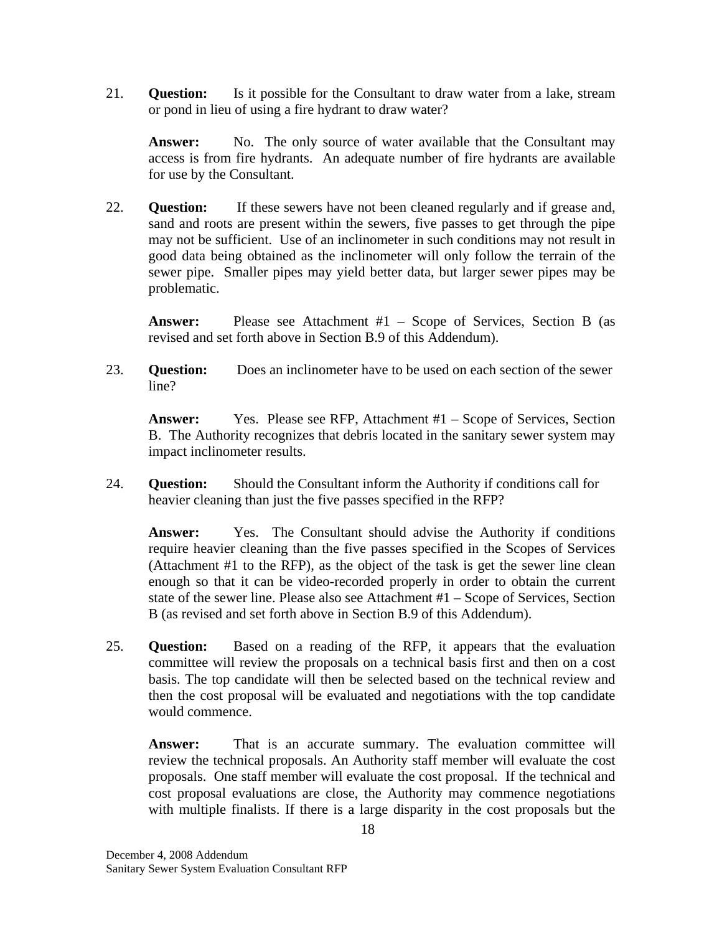21. **Question:** Is it possible for the Consultant to draw water from a lake, stream or pond in lieu of using a fire hydrant to draw water?

Answer: No. The only source of water available that the Consultant may access is from fire hydrants. An adequate number of fire hydrants are available for use by the Consultant.

22. **Question:** If these sewers have not been cleaned regularly and if grease and, sand and roots are present within the sewers, five passes to get through the pipe may not be sufficient. Use of an inclinometer in such conditions may not result in good data being obtained as the inclinometer will only follow the terrain of the sewer pipe. Smaller pipes may yield better data, but larger sewer pipes may be problematic.

**Answer:** Please see Attachment #1 – Scope of Services, Section B (as revised and set forth above in Section B.9 of this Addendum).

23. **Question:** Does an inclinometer have to be used on each section of the sewer line?

**Answer:** Yes. Please see RFP, Attachment #1 – Scope of Services, Section B. The Authority recognizes that debris located in the sanitary sewer system may impact inclinometer results.

24. **Question:** Should the Consultant inform the Authority if conditions call for heavier cleaning than just the five passes specified in the RFP?

**Answer:** Yes. The Consultant should advise the Authority if conditions require heavier cleaning than the five passes specified in the Scopes of Services (Attachment #1 to the RFP), as the object of the task is get the sewer line clean enough so that it can be video-recorded properly in order to obtain the current state of the sewer line. Please also see Attachment #1 – Scope of Services, Section B (as revised and set forth above in Section B.9 of this Addendum).

25. **Question:** Based on a reading of the RFP, it appears that the evaluation committee will review the proposals on a technical basis first and then on a cost basis. The top candidate will then be selected based on the technical review and then the cost proposal will be evaluated and negotiations with the top candidate would commence.

**Answer:** That is an accurate summary. The evaluation committee will review the technical proposals. An Authority staff member will evaluate the cost proposals. One staff member will evaluate the cost proposal. If the technical and cost proposal evaluations are close, the Authority may commence negotiations with multiple finalists. If there is a large disparity in the cost proposals but the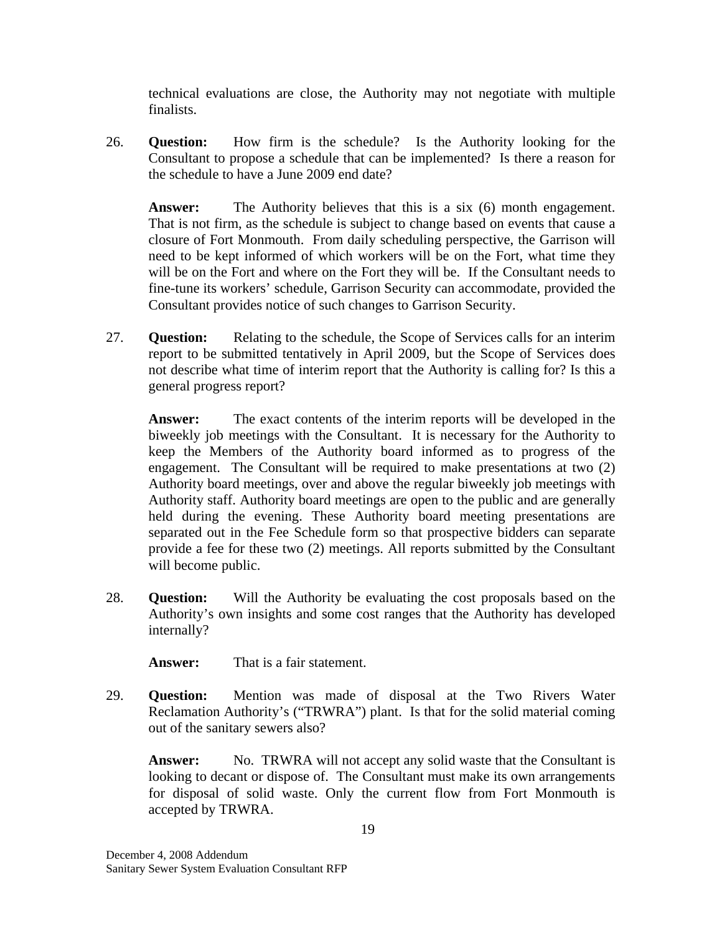technical evaluations are close, the Authority may not negotiate with multiple finalists.

26. **Question:** How firm is the schedule? Is the Authority looking for the Consultant to propose a schedule that can be implemented? Is there a reason for the schedule to have a June 2009 end date?

**Answer:** The Authority believes that this is a six (6) month engagement. That is not firm, as the schedule is subject to change based on events that cause a closure of Fort Monmouth. From daily scheduling perspective, the Garrison will need to be kept informed of which workers will be on the Fort, what time they will be on the Fort and where on the Fort they will be. If the Consultant needs to fine-tune its workers' schedule, Garrison Security can accommodate, provided the Consultant provides notice of such changes to Garrison Security.

27. **Question:** Relating to the schedule, the Scope of Services calls for an interim report to be submitted tentatively in April 2009, but the Scope of Services does not describe what time of interim report that the Authority is calling for? Is this a general progress report?

**Answer:** The exact contents of the interim reports will be developed in the biweekly job meetings with the Consultant. It is necessary for the Authority to keep the Members of the Authority board informed as to progress of the engagement. The Consultant will be required to make presentations at two (2) Authority board meetings, over and above the regular biweekly job meetings with Authority staff. Authority board meetings are open to the public and are generally held during the evening. These Authority board meeting presentations are separated out in the Fee Schedule form so that prospective bidders can separate provide a fee for these two (2) meetings. All reports submitted by the Consultant will become public.

28. **Question:** Will the Authority be evaluating the cost proposals based on the Authority's own insights and some cost ranges that the Authority has developed internally?

**Answer:** That is a fair statement.

29. **Question:** Mention was made of disposal at the Two Rivers Water Reclamation Authority's ("TRWRA") plant. Is that for the solid material coming out of the sanitary sewers also?

**Answer:** No. TRWRA will not accept any solid waste that the Consultant is looking to decant or dispose of. The Consultant must make its own arrangements for disposal of solid waste. Only the current flow from Fort Monmouth is accepted by TRWRA.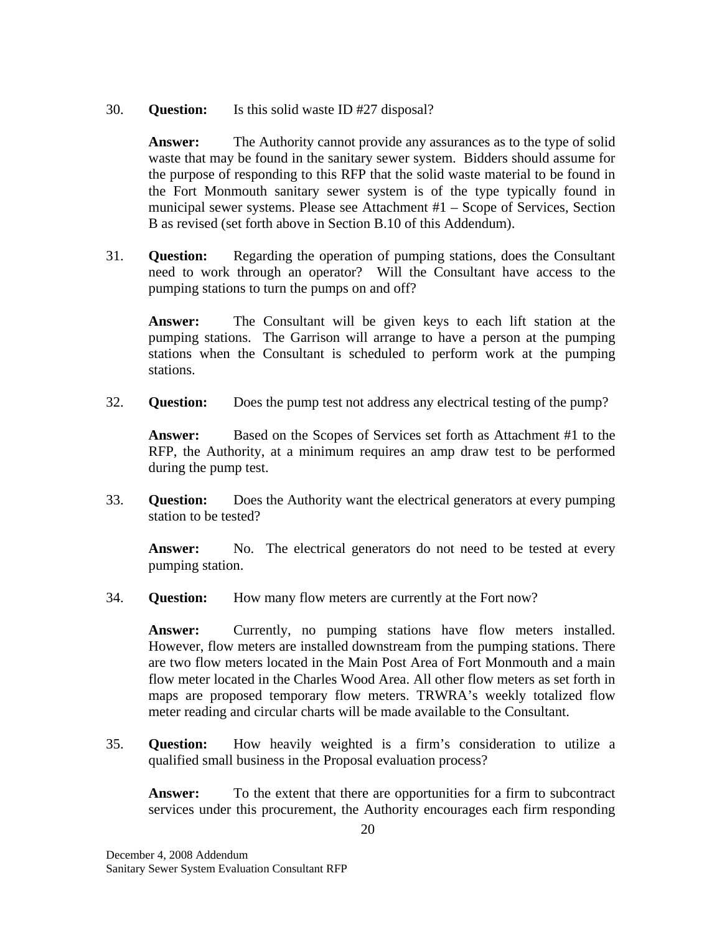### 30. **Question:** Is this solid waste ID #27 disposal?

**Answer:** The Authority cannot provide any assurances as to the type of solid waste that may be found in the sanitary sewer system. Bidders should assume for the purpose of responding to this RFP that the solid waste material to be found in the Fort Monmouth sanitary sewer system is of the type typically found in municipal sewer systems. Please see Attachment #1 – Scope of Services, Section B as revised (set forth above in Section B.10 of this Addendum).

31. **Question:** Regarding the operation of pumping stations, does the Consultant need to work through an operator? Will the Consultant have access to the pumping stations to turn the pumps on and off?

**Answer:** The Consultant will be given keys to each lift station at the pumping stations. The Garrison will arrange to have a person at the pumping stations when the Consultant is scheduled to perform work at the pumping stations.

32. **Question:** Does the pump test not address any electrical testing of the pump?

**Answer:** Based on the Scopes of Services set forth as Attachment #1 to the RFP, the Authority, at a minimum requires an amp draw test to be performed during the pump test.

33. **Question:** Does the Authority want the electrical generators at every pumping station to be tested?

Answer: No. The electrical generators do not need to be tested at every pumping station.

34. **Question:** How many flow meters are currently at the Fort now?

**Answer:** Currently, no pumping stations have flow meters installed. However, flow meters are installed downstream from the pumping stations. There are two flow meters located in the Main Post Area of Fort Monmouth and a main flow meter located in the Charles Wood Area. All other flow meters as set forth in maps are proposed temporary flow meters. TRWRA's weekly totalized flow meter reading and circular charts will be made available to the Consultant.

35. **Question:** How heavily weighted is a firm's consideration to utilize a qualified small business in the Proposal evaluation process?

**Answer:** To the extent that there are opportunities for a firm to subcontract services under this procurement, the Authority encourages each firm responding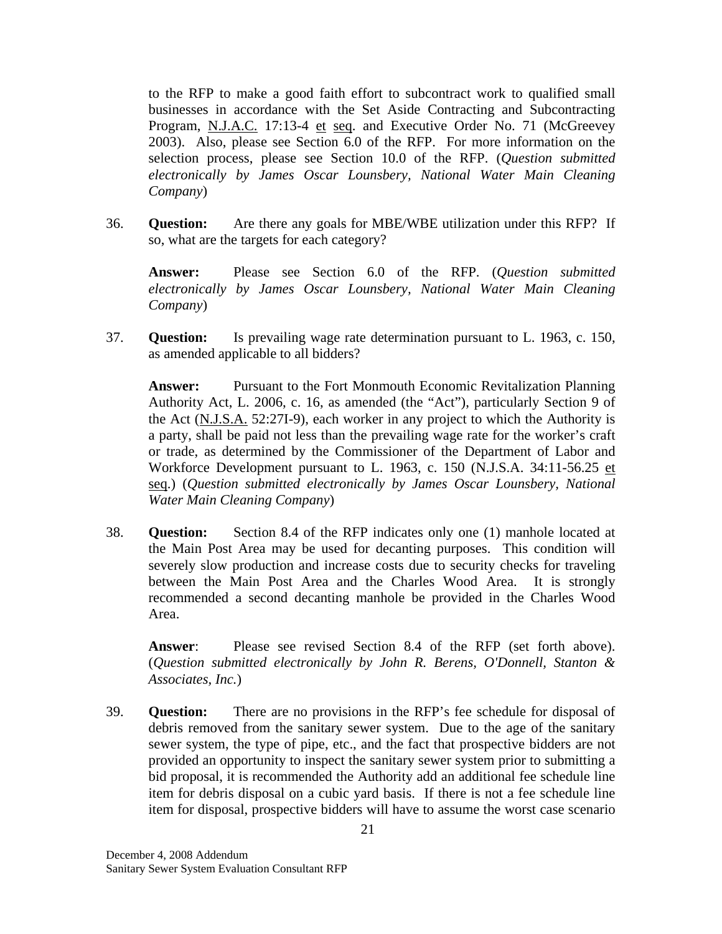to the RFP to make a good faith effort to subcontract work to qualified small businesses in accordance with the Set Aside Contracting and Subcontracting Program, N.J.A.C. 17:13-4 et seq. and Executive Order No. 71 (McGreevey 2003). Also, please see Section 6.0 of the RFP. For more information on the selection process, please see Section 10.0 of the RFP. (*Question submitted electronically by James Oscar Lounsbery, National Water Main Cleaning Company*)

36. **Question:** Are there any goals for MBE/WBE utilization under this RFP? If so, what are the targets for each category?

**Answer:** Please see Section 6.0 of the RFP. (*Question submitted electronically by James Oscar Lounsbery, National Water Main Cleaning Company*)

37. **Question:** Is prevailing wage rate determination pursuant to L. 1963, c. 150, as amended applicable to all bidders?

**Answer:** Pursuant to the Fort Monmouth Economic Revitalization Planning Authority Act, L. 2006, c. 16, as amended (the "Act"), particularly Section 9 of the Act (N.J.S.A. 52:27I-9), each worker in any project to which the Authority is a party, shall be paid not less than the prevailing wage rate for the worker's craft or trade, as determined by the Commissioner of the Department of Labor and Workforce Development pursuant to L. 1963, c. 150 (N.J.S.A. 34:11-56.25 et seq.) (*Question submitted electronically by James Oscar Lounsbery, National Water Main Cleaning Company*)

38. **Question:** Section 8.4 of the RFP indicates only one (1) manhole located at the Main Post Area may be used for decanting purposes. This condition will severely slow production and increase costs due to security checks for traveling between the Main Post Area and the Charles Wood Area. It is strongly recommended a second decanting manhole be provided in the Charles Wood Area.

**Answer**: Please see revised Section 8.4 of the RFP (set forth above). (*Question submitted electronically by John R. Berens, O'Donnell, Stanton & Associates, Inc.*)

39. **Question:** There are no provisions in the RFP's fee schedule for disposal of debris removed from the sanitary sewer system. Due to the age of the sanitary sewer system, the type of pipe, etc., and the fact that prospective bidders are not provided an opportunity to inspect the sanitary sewer system prior to submitting a bid proposal, it is recommended the Authority add an additional fee schedule line item for debris disposal on a cubic yard basis. If there is not a fee schedule line item for disposal, prospective bidders will have to assume the worst case scenario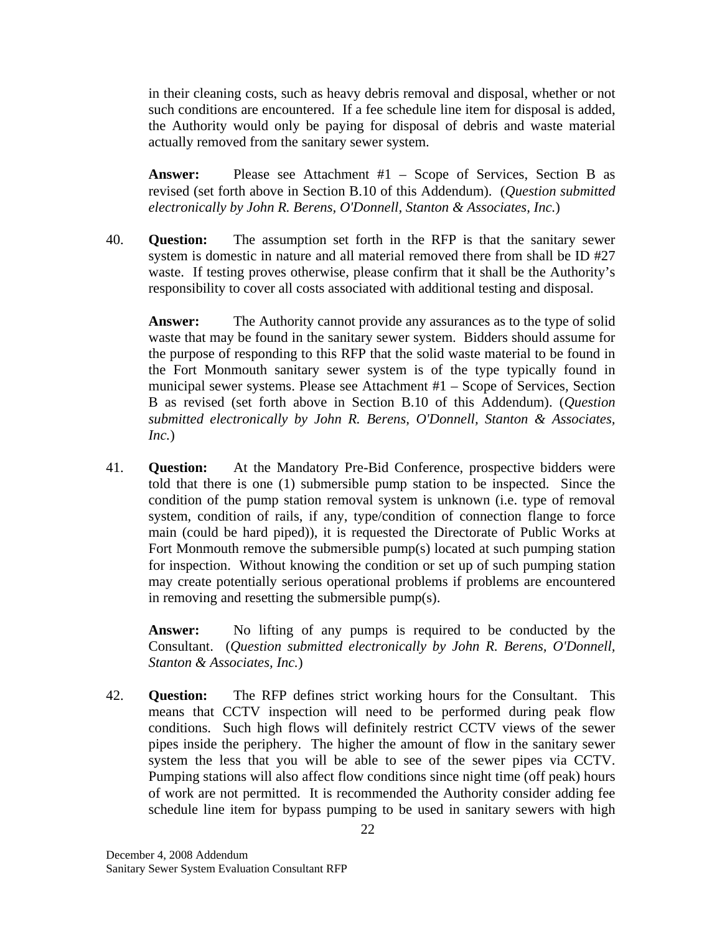in their cleaning costs, such as heavy debris removal and disposal, whether or not such conditions are encountered. If a fee schedule line item for disposal is added, the Authority would only be paying for disposal of debris and waste material actually removed from the sanitary sewer system.

**Answer:** Please see Attachment #1 – Scope of Services, Section B as revised (set forth above in Section B.10 of this Addendum). (*Question submitted electronically by John R. Berens, O'Donnell, Stanton & Associates, Inc.*)

40. **Question:** The assumption set forth in the RFP is that the sanitary sewer system is domestic in nature and all material removed there from shall be ID #27 waste. If testing proves otherwise, please confirm that it shall be the Authority's responsibility to cover all costs associated with additional testing and disposal.

**Answer:** The Authority cannot provide any assurances as to the type of solid waste that may be found in the sanitary sewer system. Bidders should assume for the purpose of responding to this RFP that the solid waste material to be found in the Fort Monmouth sanitary sewer system is of the type typically found in municipal sewer systems. Please see Attachment #1 – Scope of Services, Section B as revised (set forth above in Section B.10 of this Addendum). (*Question submitted electronically by John R. Berens, O'Donnell, Stanton & Associates, Inc.*)

41. **Question:** At the Mandatory Pre-Bid Conference, prospective bidders were told that there is one (1) submersible pump station to be inspected. Since the condition of the pump station removal system is unknown (i.e. type of removal system, condition of rails, if any, type/condition of connection flange to force main (could be hard piped)), it is requested the Directorate of Public Works at Fort Monmouth remove the submersible pump(s) located at such pumping station for inspection. Without knowing the condition or set up of such pumping station may create potentially serious operational problems if problems are encountered in removing and resetting the submersible pump(s).

**Answer:** No lifting of any pumps is required to be conducted by the Consultant. (*Question submitted electronically by John R. Berens, O'Donnell, Stanton & Associates, Inc.*)

42. **Question:** The RFP defines strict working hours for the Consultant. This means that CCTV inspection will need to be performed during peak flow conditions. Such high flows will definitely restrict CCTV views of the sewer pipes inside the periphery. The higher the amount of flow in the sanitary sewer system the less that you will be able to see of the sewer pipes via CCTV. Pumping stations will also affect flow conditions since night time (off peak) hours of work are not permitted. It is recommended the Authority consider adding fee schedule line item for bypass pumping to be used in sanitary sewers with high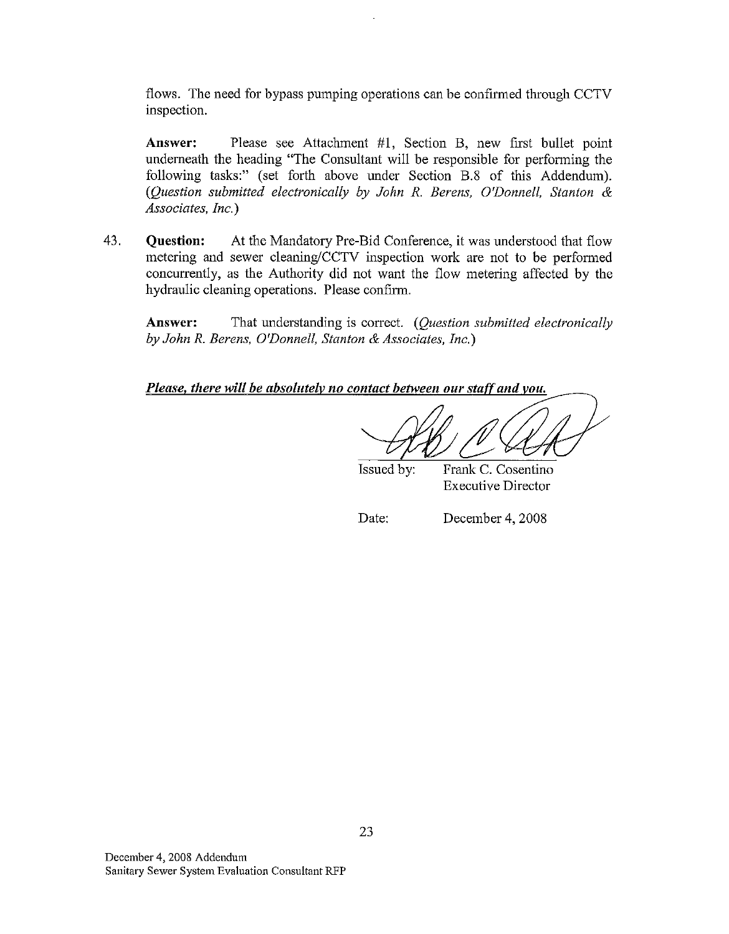flows. The need for bypass pumping operations can be confirmed through CCTV inspection.

Answer: Please see Attachment #1, Section B, new first bullet point underneath the heading "The Consultant will be responsible for performing the following tasks:" (set forth above under Section B.8 of this Addendum). (Question submitted electronically by John R. Berens, O'Donnell, Stanton & Associates, Inc.)

43. **Ouestion:** At the Mandatory Pre-Bid Conference, it was understood that flow metering and sewer cleaning/CCTV inspection work are not to be performed concurrently, as the Authority did not want the flow metering affected by the hydraulic cleaning operations. Please confirm.

That understanding is correct. (Ouestion submitted electronically Answer: by John R. Berens, O'Donnell, Stanton & Associates, Inc.)

Please, there will be absolutely no contact between our staff and you.

Issued by:

Frank C. Cosentino **Executive Director** 

Date:

December 4, 2008